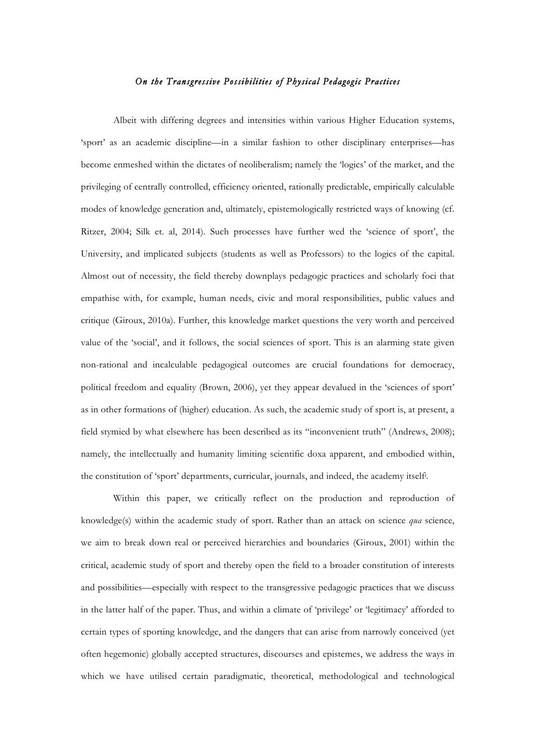## *On the Transgressive Possibilities of Physical Pedagogic Practices*

Albeit with differing degrees and intensities within various Higher Education systems, 'sport' as an academic discipline—in a similar fashion to other disciplinary enterprises—has become enmeshed within the dictates of neoliberalism; namely the 'logics' of the market, and the privileging of centrally controlled, efficiency oriented, rationally predictable, empirically calculable modes of knowledge generation and, ultimately, epistemologically restricted ways of knowing (cf. Ritzer, 2004; Silk et. al, 2014). Such processes have further wed the 'science of sport', the University, and implicated subjects (students as well as Professors) to the logics of the capital. Almost out of necessity, the field thereby downplays pedagogic practices and scholarly foci that empathise with, for example, human needs, civic and moral responsibilities, public values and critique (Giroux, 2010a). Further, this knowledge market questions the very worth and perceived value of the 'social', and it follows, the social sciences of sport. This is an alarming state given non-rational and incalculable pedagogical outcomes are crucial foundations for democracy, political freedom and equality (Brown, 2006), yet they appear devalued in the 'sciences of sport' as in other formations of (higher) education. As such, the academic study of sport is, at present, a field stymied by what elsewhere has been described as its "inconvenient truth" (Andrews, 2008); namely, the intellectually and humanity limiting scientific doxa apparent, and embodied within, the constitution of 'sport' departments, curricular, journals, and indeed, the academy itselfi .

Within this paper, we critically reflect on the production and reproduction of knowledge(s) within the academic study of sport. Rather than an attack on science *qua* science, we aim to break down real or perceived hierarchies and boundaries (Giroux, 2001) within the critical, academic study of sport and thereby open the field to a broader constitution of interests and possibilities—especially with respect to the transgressive pedagogic practices that we discuss in the latter half of the paper. Thus, and within a climate of 'privilege' or 'legitimacy' afforded to certain types of sporting knowledge, and the dangers that can arise from narrowly conceived (yet often hegemonic) globally accepted structures, discourses and epistemes, we address the ways in which we have utilised certain paradigmatic, theoretical, methodological and technological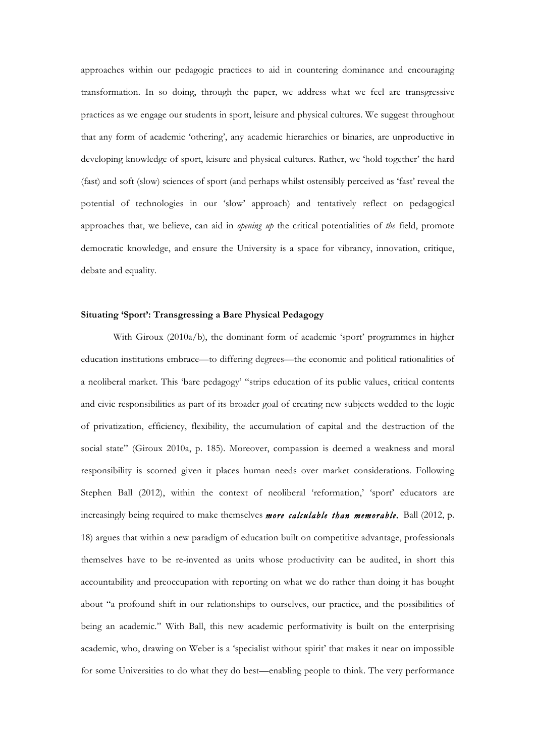approaches within our pedagogic practices to aid in countering dominance and encouraging transformation. In so doing, through the paper, we address what we feel are transgressive practices as we engage our students in sport, leisure and physical cultures. We suggest throughout that any form of academic 'othering', any academic hierarchies or binaries, are unproductive in developing knowledge of sport, leisure and physical cultures. Rather, we 'hold together' the hard (fast) and soft (slow) sciences of sport (and perhaps whilst ostensibly perceived as 'fast' reveal the potential of technologies in our 'slow' approach) and tentatively reflect on pedagogical approaches that, we believe, can aid in *opening up* the critical potentialities of *the* field, promote democratic knowledge, and ensure the University is a space for vibrancy, innovation, critique, debate and equality.

## **Situating 'Sport': Transgressing a Bare Physical Pedagogy**

With Giroux (2010a/b), the dominant form of academic 'sport' programmes in higher education institutions embrace—to differing degrees—the economic and political rationalities of a neoliberal market. This 'bare pedagogy' "strips education of its public values, critical contents and civic responsibilities as part of its broader goal of creating new subjects wedded to the logic of privatization, efficiency, flexibility, the accumulation of capital and the destruction of the social state" (Giroux 2010a, p. 185). Moreover, compassion is deemed a weakness and moral responsibility is scorned given it places human needs over market considerations. Following Stephen Ball (2012), within the context of neoliberal 'reformation,' 'sport' educators are increasingly being required to make themselves *more calculable than memorable.* Ball (2012, p. 18) argues that within a new paradigm of education built on competitive advantage, professionals themselves have to be re-invented as units whose productivity can be audited, in short this accountability and preoccupation with reporting on what we do rather than doing it has bought about "a profound shift in our relationships to ourselves, our practice, and the possibilities of being an academic." With Ball, this new academic performativity is built on the enterprising academic, who, drawing on Weber is a 'specialist without spirit' that makes it near on impossible for some Universities to do what they do best—enabling people to think. The very performance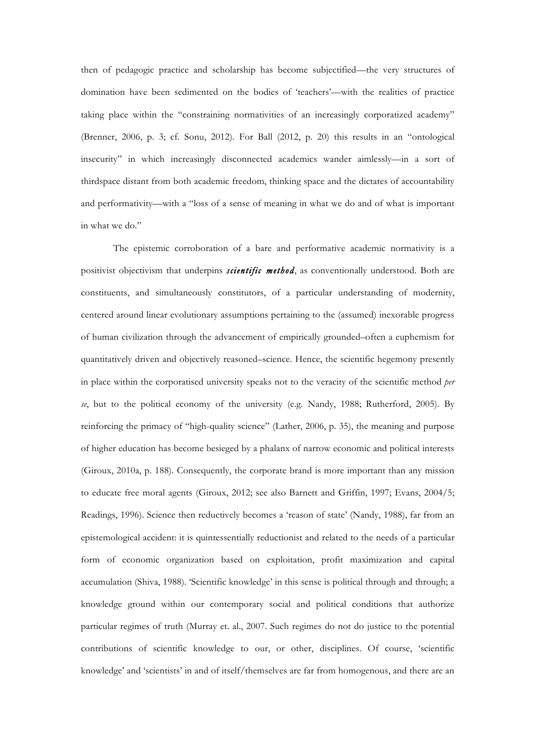then of pedagogic practice and scholarship has become subjectified—the very structures of domination have been sedimented on the bodies of 'teachers'—with the realities of practice taking place within the "constraining normativities of an increasingly corporatized academy" (Brenner, 2006, p. 3; cf. Sonu, 2012). For Ball (2012, p. 20) this results in an "ontological insecurity" in which increasingly disconnected academics wander aimlessly—in a sort of thirdspace distant from both academic freedom, thinking space and the dictates of accountability and performativity—with a "loss of a sense of meaning in what we do and of what is important in what we do."

The epistemic corroboration of a bare and performative academic normativity is a positivist objectivism that underpins *scientific method*, as conventionally understood. Both are constituents, and simultaneously constitutors, of a particular understanding of modernity, centered around linear evolutionary assumptions pertaining to the (assumed) inexorable progress of human civilization through the advancement of empirically grounded–often a euphemism for quantitatively driven and objectively reasoned–science. Hence, the scientific hegemony presently in place within the corporatised university speaks not to the veracity of the scientific method *per se*, but to the political economy of the university (e.g. Nandy, 1988; Rutherford, 2005). By reinforcing the primacy of "high-quality science" (Lather, 2006, p. 35), the meaning and purpose of higher education has become besieged by a phalanx of narrow economic and political interests (Giroux, 2010a, p. 188). Consequently, the corporate brand is more important than any mission to educate free moral agents (Giroux, 2012; see also Barnett and Griffin, 1997; Evans, 2004/5; Readings, 1996). Science then reductively becomes a 'reason of state' (Nandy, 1988), far from an epistemological accident: it is quintessentially reductionist and related to the needs of a particular form of economic organization based on exploitation, profit maximization and capital accumulation (Shiva, 1988). 'Scientific knowledge' in this sense is political through and through; a knowledge ground within our contemporary social and political conditions that authorize particular regimes of truth (Murray et. al., 2007. Such regimes do not do justice to the potential contributions of scientific knowledge to our, or other, disciplines. Of course, 'scientific knowledge' and 'scientists' in and of itself/themselves are far from homogenous, and there are an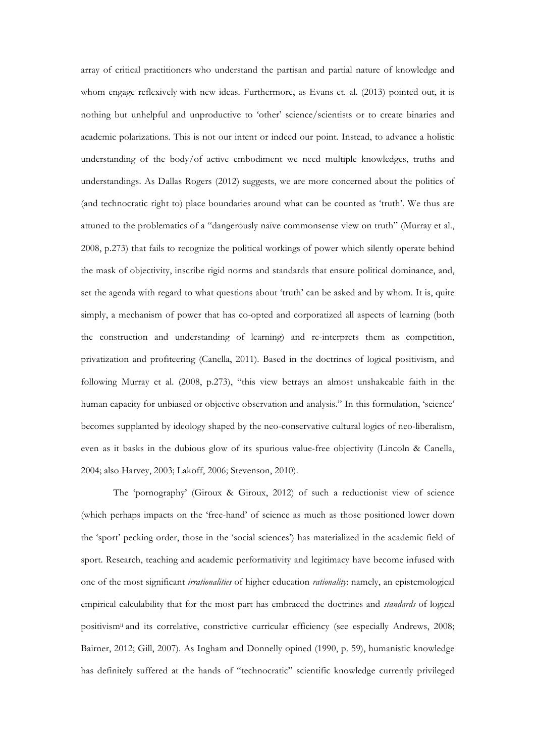array of critical practitioners who understand the partisan and partial nature of knowledge and whom engage reflexively with new ideas. Furthermore, as Evans et. al. (2013) pointed out, it is nothing but unhelpful and unproductive to 'other' science/scientists or to create binaries and academic polarizations. This is not our intent or indeed our point. Instead, to advance a holistic understanding of the body/of active embodiment we need multiple knowledges, truths and understandings. As Dallas Rogers (2012) suggests, we are more concerned about the politics of (and technocratic right to) place boundaries around what can be counted as 'truth'. We thus are attuned to the problematics of a "dangerously naïve commonsense view on truth" (Murray et al., 2008, p.273) that fails to recognize the political workings of power which silently operate behind the mask of objectivity, inscribe rigid norms and standards that ensure political dominance, and, set the agenda with regard to what questions about 'truth' can be asked and by whom. It is, quite simply, a mechanism of power that has co-opted and corporatized all aspects of learning (both the construction and understanding of learning) and re-interprets them as competition, privatization and profiteering (Canella, 2011). Based in the doctrines of logical positivism, and following Murray et al. (2008, p.273), "this view betrays an almost unshakeable faith in the human capacity for unbiased or objective observation and analysis." In this formulation, 'science' becomes supplanted by ideology shaped by the neo-conservative cultural logics of neo-liberalism, even as it basks in the dubious glow of its spurious value-free objectivity (Lincoln & Canella, 2004; also Harvey, 2003; Lakoff, 2006; Stevenson, 2010).

The 'pornography' (Giroux & Giroux, 2012) of such a reductionist view of science (which perhaps impacts on the 'free-hand' of science as much as those positioned lower down the 'sport' pecking order, those in the 'social sciences') has materialized in the academic field of sport. Research, teaching and academic performativity and legitimacy have become infused with one of the most significant *irrationalities* of higher education *rationality*: namely, an epistemological empirical calculability that for the most part has embraced the doctrines and *standards* of logical positivismii and its correlative, constrictive curricular efficiency (see especially Andrews, 2008; Bairner, 2012; Gill, 2007). As Ingham and Donnelly opined (1990, p. 59), humanistic knowledge has definitely suffered at the hands of "technocratic" scientific knowledge currently privileged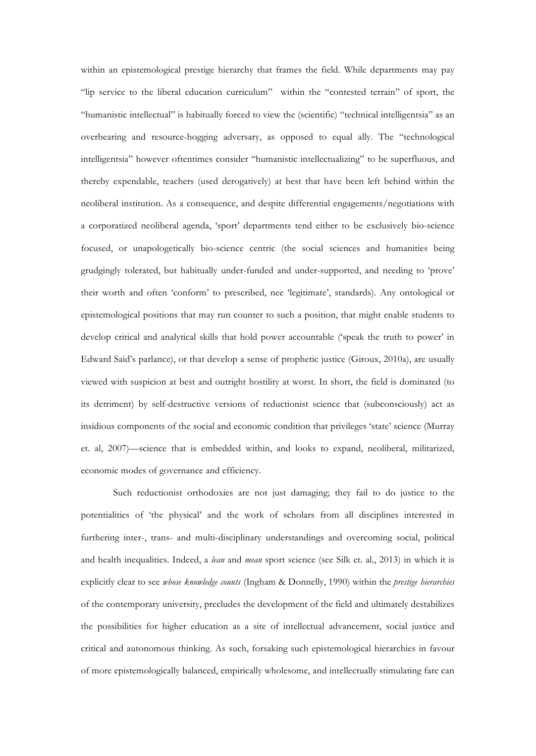within an epistemological prestige hierarchy that frames the field. While departments may pay "lip service to the liberal education curriculum" within the "contested terrain" of sport, the "humanistic intellectual" is habitually forced to view the (scientific) "technical intelligentsia" as an overbearing and resource-hogging adversary, as opposed to equal ally. The "technological intelligentsia" however oftentimes consider "humanistic intellectualizing" to be superfluous, and thereby expendable, teachers (used derogatively) at best that have been left behind within the neoliberal institution. As a consequence, and despite differential engagements/negotiations with a corporatized neoliberal agenda, 'sport' departments tend either to be exclusively bio-science focused, or unapologetically bio-science centric (the social sciences and humanities being grudgingly tolerated, but habitually under-funded and under-supported, and needing to 'prove' their worth and often 'conform' to prescribed, nee 'legitimate', standards). Any ontological or epistemological positions that may run counter to such a position, that might enable students to develop critical and analytical skills that hold power accountable ('speak the truth to power' in Edward Said's parlance), or that develop a sense of prophetic justice (Giroux, 2010a), are usually viewed with suspicion at best and outright hostility at worst. In short, the field is dominated (to its detriment) by self-destructive versions of reductionist science that (subconsciously) act as insidious components of the social and economic condition that privileges 'state' science (Murray et. al, 2007)—science that is embedded within, and looks to expand, neoliberal, militarized, economic modes of governance and efficiency.

Such reductionist orthodoxies are not just damaging; they fail to do justice to the potentialities of 'the physical' and the work of scholars from all disciplines interested in furthering inter-, trans- and multi-disciplinary understandings and overcoming social, political and health inequalities. Indeed, a *lean* and *mean* sport science (see Silk et. al., 2013) in which it is explicitly clear to see *whose knowledge counts* (Ingham & Donnelly, 1990) within the *prestige hierarchies* of the contemporary university, precludes the development of the field and ultimately destabilizes the possibilities for higher education as a site of intellectual advancement, social justice and critical and autonomous thinking. As such, forsaking such epistemological hierarchies in favour of more epistemologically balanced, empirically wholesome, and intellectually stimulating fare can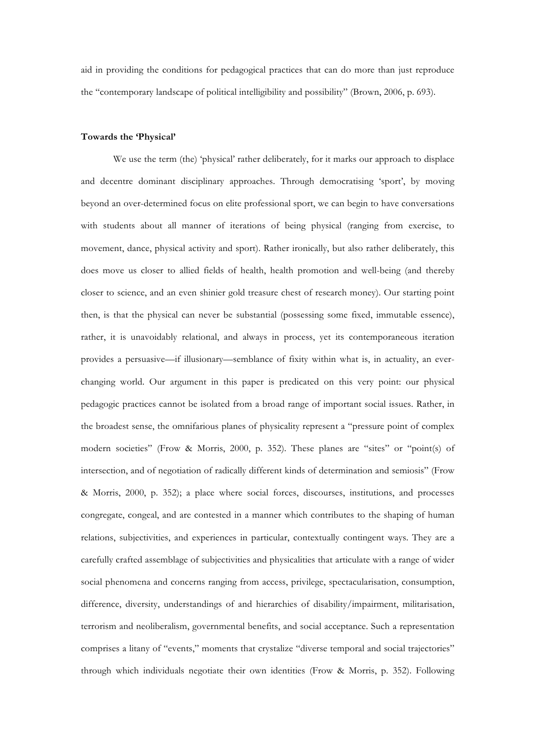aid in providing the conditions for pedagogical practices that can do more than just reproduce the "contemporary landscape of political intelligibility and possibility" (Brown, 2006, p. 693).

# **Towards the 'Physical'**

We use the term (the) 'physical' rather deliberately, for it marks our approach to displace and decentre dominant disciplinary approaches. Through democratising 'sport', by moving beyond an over-determined focus on elite professional sport, we can begin to have conversations with students about all manner of iterations of being physical (ranging from exercise, to movement, dance, physical activity and sport). Rather ironically, but also rather deliberately, this does move us closer to allied fields of health, health promotion and well-being (and thereby closer to science, and an even shinier gold treasure chest of research money). Our starting point then, is that the physical can never be substantial (possessing some fixed, immutable essence), rather, it is unavoidably relational, and always in process, yet its contemporaneous iteration provides a persuasive—if illusionary—semblance of fixity within what is, in actuality, an everchanging world. Our argument in this paper is predicated on this very point: our physical pedagogic practices cannot be isolated from a broad range of important social issues. Rather, in the broadest sense, the omnifarious planes of physicality represent a "pressure point of complex modern societies" (Frow & Morris, 2000, p. 352). These planes are "sites" or "point(s) of intersection, and of negotiation of radically different kinds of determination and semiosis" (Frow & Morris, 2000, p. 352); a place where social forces, discourses, institutions, and processes congregate, congeal, and are contested in a manner which contributes to the shaping of human relations, subjectivities, and experiences in particular, contextually contingent ways. They are a carefully crafted assemblage of subjectivities and physicalities that articulate with a range of wider social phenomena and concerns ranging from access, privilege, spectacularisation, consumption, difference, diversity, understandings of and hierarchies of disability/impairment, militarisation, terrorism and neoliberalism, governmental benefits, and social acceptance. Such a representation comprises a litany of "events," moments that crystalize "diverse temporal and social trajectories" through which individuals negotiate their own identities (Frow & Morris, p. 352). Following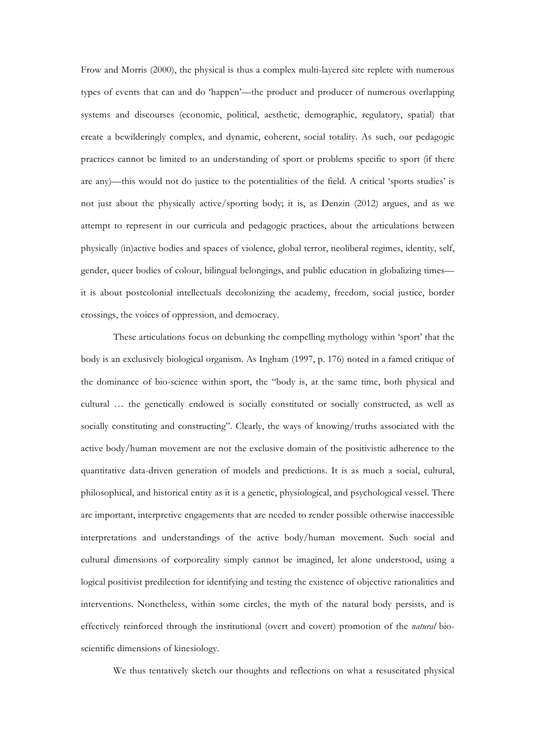Frow and Morris (2000), the physical is thus a complex multi-layered site replete with numerous types of events that can and do 'happen'—the product and producer of numerous overlapping systems and discourses (economic, political, aesthetic, demographic, regulatory, spatial) that create a bewilderingly complex, and dynamic, coherent, social totality. As such, our pedagogic practices cannot be limited to an understanding of sport or problems specific to sport (if there are any)—this would not do justice to the potentialities of the field. A critical 'sports studies' is not just about the physically active/sporting body; it is, as Denzin (2012) argues, and as we attempt to represent in our curricula and pedagogic practices, about the articulations between physically (in)active bodies and spaces of violence, global terror, neoliberal regimes, identity, self, gender, queer bodies of colour, bilingual belongings, and public education in globalizing times it is about postcolonial intellectuals decolonizing the academy, freedom, social justice, border crossings, the voices of oppression, and democracy.

These articulations focus on debunking the compelling mythology within 'sport' that the body is an exclusively biological organism. As Ingham (1997, p. 176) noted in a famed critique of the dominance of bio-science within sport, the "body is, at the same time, both physical and cultural … the genetically endowed is socially constituted or socially constructed, as well as socially constituting and constructing". Clearly, the ways of knowing/truths associated with the active body/human movement are not the exclusive domain of the positivistic adherence to the quantitative data-driven generation of models and predictions. It is as much a social, cultural, philosophical, and historical entity as it is a genetic, physiological, and psychological vessel. There are important, interpretive engagements that are needed to render possible otherwise inaccessible interpretations and understandings of the active body/human movement. Such social and cultural dimensions of corporeality simply cannot be imagined, let alone understood, using a logical positivist predilection for identifying and testing the existence of objective rationalities and interventions. Nonetheless, within some circles, the myth of the natural body persists, and is effectively reinforced through the institutional (overt and covert) promotion of the *natural* bioscientific dimensions of kinesiology.

We thus tentatively sketch our thoughts and reflections on what a resuscitated physical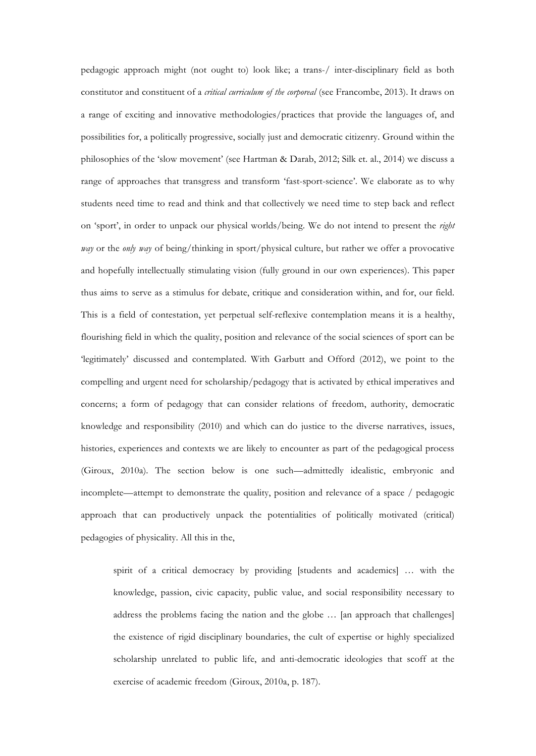pedagogic approach might (not ought to) look like; a trans-/ inter-disciplinary field as both constitutor and constituent of a *critical curriculum of the corporeal* (see Francombe, 2013). It draws on a range of exciting and innovative methodologies/practices that provide the languages of, and possibilities for, a politically progressive, socially just and democratic citizenry. Ground within the philosophies of the 'slow movement' (see Hartman & Darab, 2012; Silk et. al., 2014) we discuss a range of approaches that transgress and transform 'fast-sport-science'. We elaborate as to why students need time to read and think and that collectively we need time to step back and reflect on 'sport', in order to unpack our physical worlds/being. We do not intend to present the *right way* or the *only way* of being/thinking in sport/physical culture, but rather we offer a provocative and hopefully intellectually stimulating vision (fully ground in our own experiences). This paper thus aims to serve as a stimulus for debate, critique and consideration within, and for, our field. This is a field of contestation, yet perpetual self-reflexive contemplation means it is a healthy, flourishing field in which the quality, position and relevance of the social sciences of sport can be 'legitimately' discussed and contemplated. With Garbutt and Offord (2012), we point to the compelling and urgent need for scholarship/pedagogy that is activated by ethical imperatives and concerns; a form of pedagogy that can consider relations of freedom, authority, democratic knowledge and responsibility (2010) and which can do justice to the diverse narratives, issues, histories, experiences and contexts we are likely to encounter as part of the pedagogical process (Giroux, 2010a). The section below is one such—admittedly idealistic, embryonic and incomplete—attempt to demonstrate the quality, position and relevance of a space / pedagogic approach that can productively unpack the potentialities of politically motivated (critical) pedagogies of physicality. All this in the,

spirit of a critical democracy by providing [students and academics] … with the knowledge, passion, civic capacity, public value, and social responsibility necessary to address the problems facing the nation and the globe … [an approach that challenges] the existence of rigid disciplinary boundaries, the cult of expertise or highly specialized scholarship unrelated to public life, and anti-democratic ideologies that scoff at the exercise of academic freedom (Giroux, 2010a, p. 187).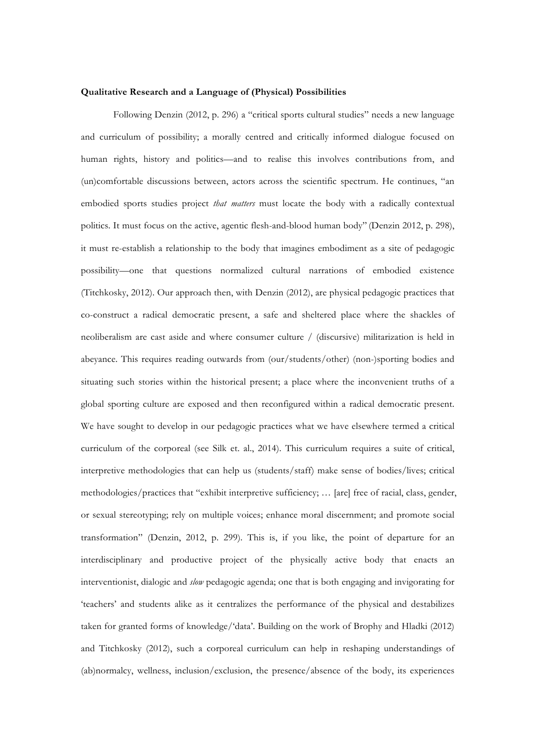### **Qualitative Research and a Language of (Physical) Possibilities**

Following Denzin (2012, p. 296) a "critical sports cultural studies" needs a new language and curriculum of possibility; a morally centred and critically informed dialogue focused on human rights, history and politics—and to realise this involves contributions from, and (un)comfortable discussions between, actors across the scientific spectrum. He continues, "an embodied sports studies project *that matters* must locate the body with a radically contextual politics. It must focus on the active, agentic flesh-and-blood human body" (Denzin 2012, p. 298), it must re-establish a relationship to the body that imagines embodiment as a site of pedagogic possibility—one that questions normalized cultural narrations of embodied existence (Titchkosky, 2012). Our approach then, with Denzin (2012), are physical pedagogic practices that co-construct a radical democratic present, a safe and sheltered place where the shackles of neoliberalism are cast aside and where consumer culture / (discursive) militarization is held in abeyance. This requires reading outwards from (our/students/other) (non-)sporting bodies and situating such stories within the historical present; a place where the inconvenient truths of a global sporting culture are exposed and then reconfigured within a radical democratic present. We have sought to develop in our pedagogic practices what we have elsewhere termed a critical curriculum of the corporeal (see Silk et. al., 2014). This curriculum requires a suite of critical, interpretive methodologies that can help us (students/staff) make sense of bodies/lives; critical methodologies/practices that "exhibit interpretive sufficiency; … [are] free of racial, class, gender, or sexual stereotyping; rely on multiple voices; enhance moral discernment; and promote social transformation" (Denzin, 2012, p. 299). This is, if you like, the point of departure for an interdisciplinary and productive project of the physically active body that enacts an interventionist, dialogic and *slow* pedagogic agenda; one that is both engaging and invigorating for 'teachers' and students alike as it centralizes the performance of the physical and destabilizes taken for granted forms of knowledge/'data'. Building on the work of Brophy and Hladki (2012) and Titchkosky (2012), such a corporeal curriculum can help in reshaping understandings of (ab)normalcy, wellness, inclusion/exclusion, the presence/absence of the body, its experiences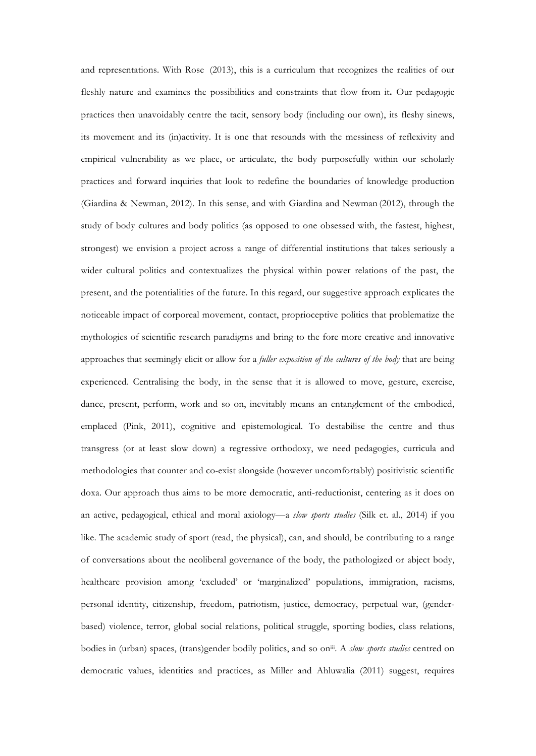and representations. With Rose (2013), this is a curriculum that recognizes the realities of our fleshly nature and examines the possibilities and constraints that flow from it**.** Our pedagogic practices then unavoidably centre the tacit, sensory body (including our own), its fleshy sinews, its movement and its (in)activity. It is one that resounds with the messiness of reflexivity and empirical vulnerability as we place, or articulate, the body purposefully within our scholarly practices and forward inquiries that look to redefine the boundaries of knowledge production (Giardina & Newman, 2012). In this sense, and with Giardina and Newman (2012), through the study of body cultures and body politics (as opposed to one obsessed with, the fastest, highest, strongest) we envision a project across a range of differential institutions that takes seriously a wider cultural politics and contextualizes the physical within power relations of the past, the present, and the potentialities of the future. In this regard, our suggestive approach explicates the noticeable impact of corporeal movement, contact, proprioceptive politics that problematize the mythologies of scientific research paradigms and bring to the fore more creative and innovative approaches that seemingly elicit or allow for a *fuller exposition of the cultures of the body* that are being experienced. Centralising the body, in the sense that it is allowed to move, gesture, exercise, dance, present, perform, work and so on, inevitably means an entanglement of the embodied, emplaced (Pink, 2011), cognitive and epistemological. To destabilise the centre and thus transgress (or at least slow down) a regressive orthodoxy, we need pedagogies, curricula and methodologies that counter and co-exist alongside (however uncomfortably) positivistic scientific doxa. Our approach thus aims to be more democratic, anti-reductionist, centering as it does on an active, pedagogical, ethical and moral axiology—a *slow sports studies* (Silk et. al., 2014) if you like. The academic study of sport (read, the physical), can, and should, be contributing to a range of conversations about the neoliberal governance of the body, the pathologized or abject body, healthcare provision among 'excluded' or 'marginalized' populations, immigration, racisms, personal identity, citizenship, freedom, patriotism, justice, democracy, perpetual war, (genderbased) violence, terror, global social relations, political struggle, sporting bodies, class relations, bodies in (urban) spaces, (trans)gender bodily politics, and so oniii. A *slow sports studies* centred on democratic values, identities and practices, as Miller and Ahluwalia (2011) suggest, requires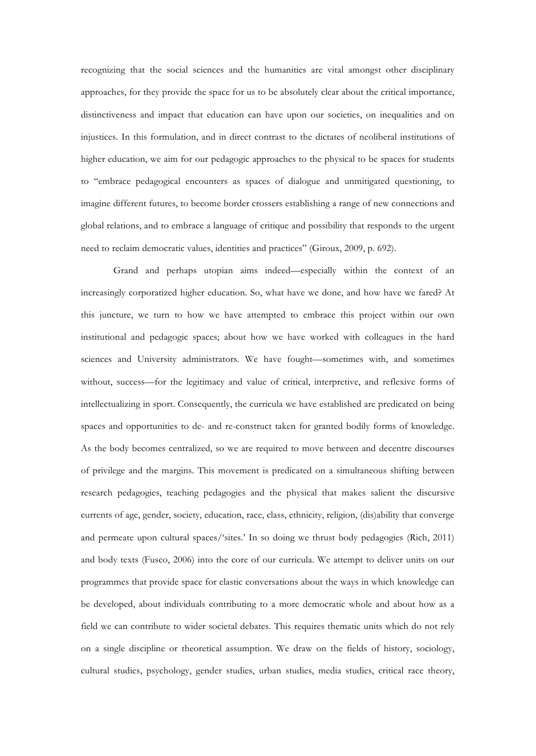recognizing that the social sciences and the humanities are vital amongst other disciplinary approaches, for they provide the space for us to be absolutely clear about the critical importance, distinctiveness and impact that education can have upon our societies, on inequalities and on injustices. In this formulation, and in direct contrast to the dictates of neoliberal institutions of higher education, we aim for our pedagogic approaches to the physical to be spaces for students to "embrace pedagogical encounters as spaces of dialogue and unmitigated questioning, to imagine different futures, to become border crossers establishing a range of new connections and global relations, and to embrace a language of critique and possibility that responds to the urgent need to reclaim democratic values, identities and practices" (Giroux, 2009, p. 692).

Grand and perhaps utopian aims indeed—especially within the context of an increasingly corporatized higher education. So, what have we done, and how have we fared? At this juncture, we turn to how we have attempted to embrace this project within our own institutional and pedagogic spaces; about how we have worked with colleagues in the hard sciences and University administrators. We have fought—sometimes with, and sometimes without, success—for the legitimacy and value of critical, interpretive, and reflexive forms of intellectualizing in sport. Consequently, the curricula we have established are predicated on being spaces and opportunities to de- and re-construct taken for granted bodily forms of knowledge. As the body becomes centralized, so we are required to move between and decentre discourses of privilege and the margins. This movement is predicated on a simultaneous shifting between research pedagogies, teaching pedagogies and the physical that makes salient the discursive currents of age, gender, society, education, race, class, ethnicity, religion, (dis)ability that converge and permeate upon cultural spaces/'sites.' In so doing we thrust body pedagogies (Rich, 2011) and body texts (Fusco, 2006) into the core of our curricula. We attempt to deliver units on our programmes that provide space for elastic conversations about the ways in which knowledge can be developed, about individuals contributing to a more democratic whole and about how as a field we can contribute to wider societal debates. This requires thematic units which do not rely on a single discipline or theoretical assumption. We draw on the fields of history, sociology, cultural studies, psychology, gender studies, urban studies, media studies, critical race theory,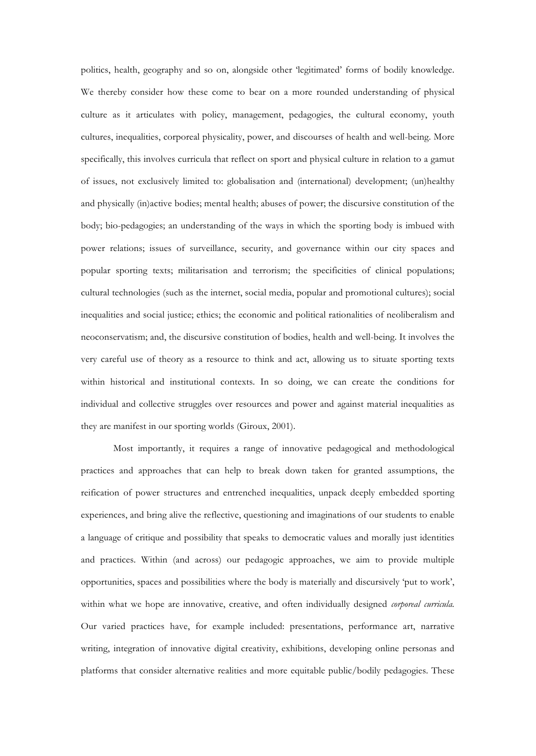politics, health, geography and so on, alongside other 'legitimated' forms of bodily knowledge. We thereby consider how these come to bear on a more rounded understanding of physical culture as it articulates with policy, management, pedagogies, the cultural economy, youth cultures, inequalities, corporeal physicality, power, and discourses of health and well-being. More specifically, this involves curricula that reflect on sport and physical culture in relation to a gamut of issues, not exclusively limited to: globalisation and (international) development; (un)healthy and physically (in)active bodies; mental health; abuses of power; the discursive constitution of the body; bio-pedagogies; an understanding of the ways in which the sporting body is imbued with power relations; issues of surveillance, security, and governance within our city spaces and popular sporting texts; militarisation and terrorism; the specificities of clinical populations; cultural technologies (such as the internet, social media, popular and promotional cultures); social inequalities and social justice; ethics; the economic and political rationalities of neoliberalism and neoconservatism; and, the discursive constitution of bodies, health and well-being. It involves the very careful use of theory as a resource to think and act, allowing us to situate sporting texts within historical and institutional contexts. In so doing, we can create the conditions for individual and collective struggles over resources and power and against material inequalities as they are manifest in our sporting worlds (Giroux, 2001).

Most importantly, it requires a range of innovative pedagogical and methodological practices and approaches that can help to break down taken for granted assumptions, the reification of power structures and entrenched inequalities, unpack deeply embedded sporting experiences, and bring alive the reflective, questioning and imaginations of our students to enable a language of critique and possibility that speaks to democratic values and morally just identities and practices. Within (and across) our pedagogic approaches, we aim to provide multiple opportunities, spaces and possibilities where the body is materially and discursively 'put to work', within what we hope are innovative, creative, and often individually designed *corporeal curricula.* Our varied practices have, for example included: presentations, performance art, narrative writing, integration of innovative digital creativity, exhibitions, developing online personas and platforms that consider alternative realities and more equitable public/bodily pedagogies. These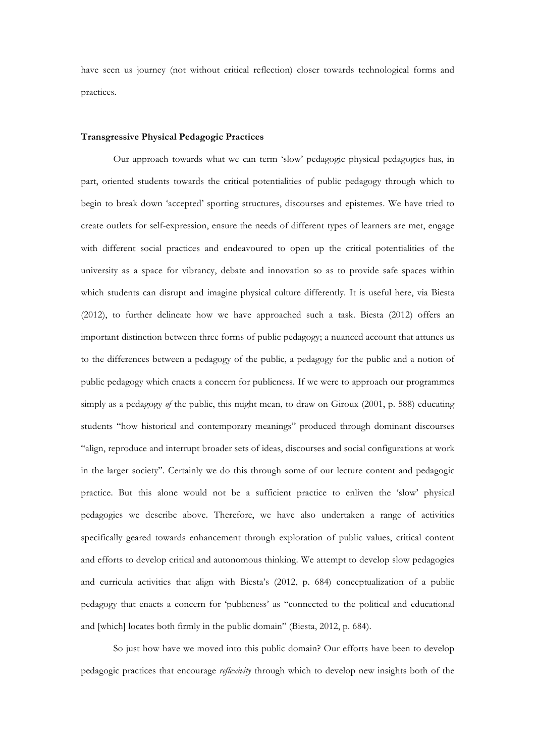have seen us journey (not without critical reflection) closer towards technological forms and practices.

#### **Transgressive Physical Pedagogic Practices**

Our approach towards what we can term 'slow' pedagogic physical pedagogies has, in part, oriented students towards the critical potentialities of public pedagogy through which to begin to break down 'accepted' sporting structures, discourses and epistemes. We have tried to create outlets for self-expression, ensure the needs of different types of learners are met, engage with different social practices and endeavoured to open up the critical potentialities of the university as a space for vibrancy, debate and innovation so as to provide safe spaces within which students can disrupt and imagine physical culture differently. It is useful here, via Biesta (2012), to further delineate how we have approached such a task. Biesta (2012) offers an important distinction between three forms of public pedagogy; a nuanced account that attunes us to the differences between a pedagogy of the public, a pedagogy for the public and a notion of public pedagogy which enacts a concern for publicness. If we were to approach our programmes simply as a pedagogy *of* the public, this might mean, to draw on Giroux (2001, p. 588) educating students "how historical and contemporary meanings" produced through dominant discourses "align, reproduce and interrupt broader sets of ideas, discourses and social configurations at work in the larger society". Certainly we do this through some of our lecture content and pedagogic practice. But this alone would not be a sufficient practice to enliven the 'slow' physical pedagogies we describe above. Therefore, we have also undertaken a range of activities specifically geared towards enhancement through exploration of public values, critical content and efforts to develop critical and autonomous thinking. We attempt to develop slow pedagogies and curricula activities that align with Biesta's (2012, p. 684) conceptualization of a public pedagogy that enacts a concern for 'publicness' as "connected to the political and educational and [which] locates both firmly in the public domain" (Biesta, 2012, p. 684).

So just how have we moved into this public domain? Our efforts have been to develop pedagogic practices that encourage *reflexivity* through which to develop new insights both of the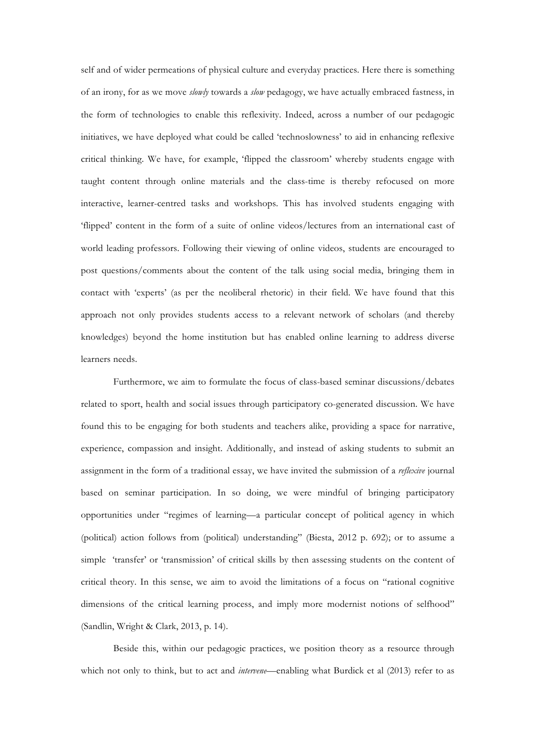self and of wider permeations of physical culture and everyday practices. Here there is something of an irony, for as we move *slowly* towards a *slow* pedagogy, we have actually embraced fastness, in the form of technologies to enable this reflexivity. Indeed, across a number of our pedagogic initiatives, we have deployed what could be called 'technoslowness' to aid in enhancing reflexive critical thinking. We have, for example, 'flipped the classroom' whereby students engage with taught content through online materials and the class-time is thereby refocused on more interactive, learner-centred tasks and workshops. This has involved students engaging with 'flipped' content in the form of a suite of online videos/lectures from an international cast of world leading professors. Following their viewing of online videos, students are encouraged to post questions/comments about the content of the talk using social media, bringing them in contact with 'experts' (as per the neoliberal rhetoric) in their field. We have found that this approach not only provides students access to a relevant network of scholars (and thereby knowledges) beyond the home institution but has enabled online learning to address diverse learners needs.

Furthermore, we aim to formulate the focus of class-based seminar discussions/debates related to sport, health and social issues through participatory co-generated discussion. We have found this to be engaging for both students and teachers alike, providing a space for narrative, experience, compassion and insight. Additionally, and instead of asking students to submit an assignment in the form of a traditional essay, we have invited the submission of a *reflexive* journal based on seminar participation. In so doing, we were mindful of bringing participatory opportunities under "regimes of learning—a particular concept of political agency in which (political) action follows from (political) understanding" (Biesta, 2012 p. 692); or to assume a simple 'transfer' or 'transmission' of critical skills by then assessing students on the content of critical theory. In this sense, we aim to avoid the limitations of a focus on "rational cognitive dimensions of the critical learning process, and imply more modernist notions of selfhood" (Sandlin, Wright & Clark, 2013, p. 14).

Beside this, within our pedagogic practices, we position theory as a resource through which not only to think, but to act and *intervene*—enabling what Burdick et al (2013) refer to as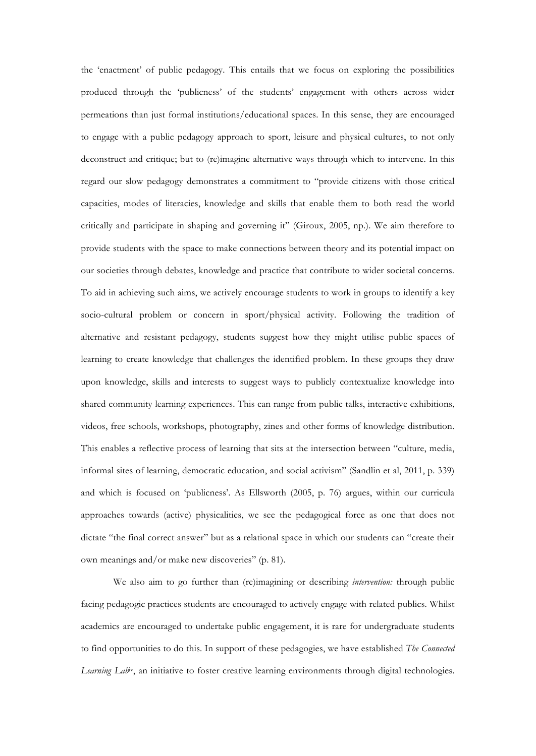the 'enactment' of public pedagogy. This entails that we focus on exploring the possibilities produced through the 'publicness' of the students' engagement with others across wider permeations than just formal institutions/educational spaces. In this sense, they are encouraged to engage with a public pedagogy approach to sport, leisure and physical cultures, to not only deconstruct and critique; but to (re)imagine alternative ways through which to intervene. In this regard our slow pedagogy demonstrates a commitment to "provide citizens with those critical capacities, modes of literacies, knowledge and skills that enable them to both read the world critically and participate in shaping and governing it" (Giroux, 2005, np.). We aim therefore to provide students with the space to make connections between theory and its potential impact on our societies through debates, knowledge and practice that contribute to wider societal concerns. To aid in achieving such aims, we actively encourage students to work in groups to identify a key socio-cultural problem or concern in sport/physical activity. Following the tradition of alternative and resistant pedagogy, students suggest how they might utilise public spaces of learning to create knowledge that challenges the identified problem. In these groups they draw upon knowledge, skills and interests to suggest ways to publicly contextualize knowledge into shared community learning experiences. This can range from public talks, interactive exhibitions, videos, free schools, workshops, photography, zines and other forms of knowledge distribution. This enables a reflective process of learning that sits at the intersection between "culture, media, informal sites of learning, democratic education, and social activism" (Sandlin et al, 2011, p. 339) and which is focused on 'publicness'. As Ellsworth (2005, p. 76) argues, within our curricula approaches towards (active) physicalities, we see the pedagogical force as one that does not dictate "the final correct answer" but as a relational space in which our students can "create their own meanings and/or make new discoveries" (p. 81).

We also aim to go further than (re)imagining or describing *intervention:* through public facing pedagogic practices students are encouraged to actively engage with related publics. Whilst academics are encouraged to undertake public engagement, it is rare for undergraduate students to find opportunities to do this. In support of these pedagogies, we have established *The Connected Learning Lab*iv, an initiative to foster creative learning environments through digital technologies.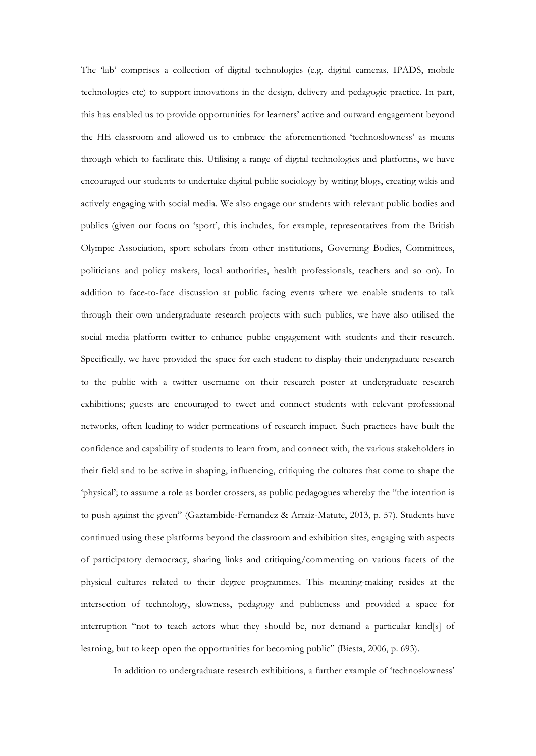The 'lab' comprises a collection of digital technologies (e.g. digital cameras, IPADS, mobile technologies etc) to support innovations in the design, delivery and pedagogic practice. In part, this has enabled us to provide opportunities for learners' active and outward engagement beyond the HE classroom and allowed us to embrace the aforementioned 'technoslowness' as means through which to facilitate this. Utilising a range of digital technologies and platforms, we have encouraged our students to undertake digital public sociology by writing blogs, creating wikis and actively engaging with social media. We also engage our students with relevant public bodies and publics (given our focus on 'sport', this includes, for example, representatives from the British Olympic Association, sport scholars from other institutions, Governing Bodies, Committees, politicians and policy makers, local authorities, health professionals, teachers and so on). In addition to face-to-face discussion at public facing events where we enable students to talk through their own undergraduate research projects with such publics, we have also utilised the social media platform twitter to enhance public engagement with students and their research. Specifically, we have provided the space for each student to display their undergraduate research to the public with a twitter username on their research poster at undergraduate research exhibitions; guests are encouraged to tweet and connect students with relevant professional networks, often leading to wider permeations of research impact. Such practices have built the confidence and capability of students to learn from, and connect with, the various stakeholders in their field and to be active in shaping, influencing, critiquing the cultures that come to shape the 'physical'; to assume a role as border crossers, as public pedagogues whereby the "the intention is to push against the given" (Gaztambide-Fernandez & Arraiz-Matute, 2013, p. 57). Students have continued using these platforms beyond the classroom and exhibition sites, engaging with aspects of participatory democracy, sharing links and critiquing/commenting on various facets of the physical cultures related to their degree programmes. This meaning-making resides at the intersection of technology, slowness, pedagogy and publicness and provided a space for interruption "not to teach actors what they should be, nor demand a particular kind[s] of learning, but to keep open the opportunities for becoming public" (Biesta, 2006, p. 693).

In addition to undergraduate research exhibitions, a further example of 'technoslowness'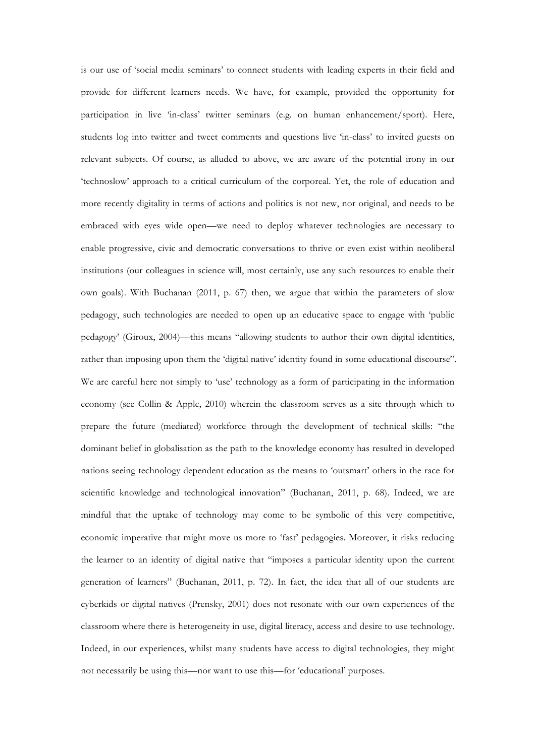is our use of 'social media seminars' to connect students with leading experts in their field and provide for different learners needs. We have, for example, provided the opportunity for participation in live 'in-class' twitter seminars (e.g. on human enhancement/sport). Here, students log into twitter and tweet comments and questions live 'in-class' to invited guests on relevant subjects. Of course, as alluded to above, we are aware of the potential irony in our 'technoslow' approach to a critical curriculum of the corporeal. Yet, the role of education and more recently digitality in terms of actions and politics is not new, nor original, and needs to be embraced with eyes wide open—we need to deploy whatever technologies are necessary to enable progressive, civic and democratic conversations to thrive or even exist within neoliberal institutions (our colleagues in science will, most certainly, use any such resources to enable their own goals). With Buchanan (2011, p. 67) then, we argue that within the parameters of slow pedagogy, such technologies are needed to open up an educative space to engage with 'public pedagogy' (Giroux, 2004)—this means "allowing students to author their own digital identities, rather than imposing upon them the 'digital native' identity found in some educational discourse". We are careful here not simply to 'use' technology as a form of participating in the information economy (see Collin & Apple, 2010) wherein the classroom serves as a site through which to prepare the future (mediated) workforce through the development of technical skills: "the dominant belief in globalisation as the path to the knowledge economy has resulted in developed nations seeing technology dependent education as the means to 'outsmart' others in the race for scientific knowledge and technological innovation" (Buchanan, 2011, p. 68). Indeed, we are mindful that the uptake of technology may come to be symbolic of this very competitive, economic imperative that might move us more to 'fast' pedagogies. Moreover, it risks reducing the learner to an identity of digital native that "imposes a particular identity upon the current generation of learners" (Buchanan, 2011, p. 72). In fact, the idea that all of our students are cyberkids or digital natives (Prensky, 2001) does not resonate with our own experiences of the classroom where there is heterogeneity in use, digital literacy, access and desire to use technology. Indeed, in our experiences, whilst many students have access to digital technologies, they might not necessarily be using this—nor want to use this—for 'educational' purposes.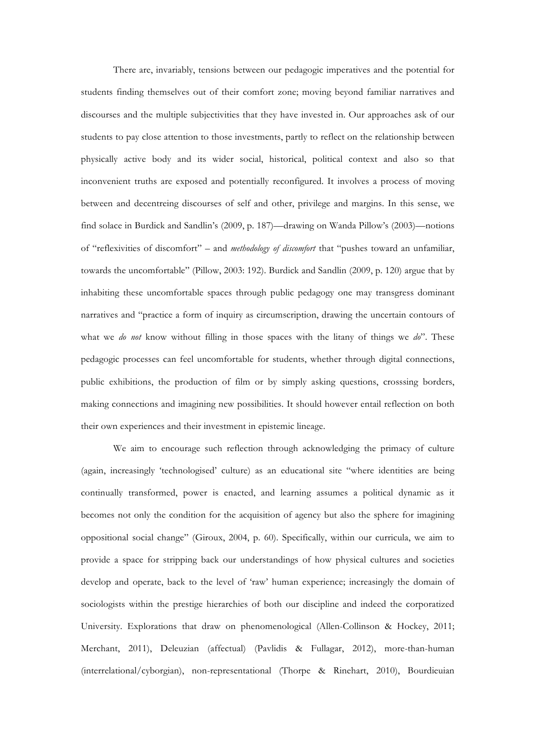There are, invariably, tensions between our pedagogic imperatives and the potential for students finding themselves out of their comfort zone; moving beyond familiar narratives and discourses and the multiple subjectivities that they have invested in. Our approaches ask of our students to pay close attention to those investments, partly to reflect on the relationship between physically active body and its wider social, historical, political context and also so that inconvenient truths are exposed and potentially reconfigured. It involves a process of moving between and decentreing discourses of self and other, privilege and margins. In this sense, we find solace in Burdick and Sandlin's (2009, p. 187)—drawing on Wanda Pillow's (2003)—notions of "reflexivities of discomfort" – and *methodology of discomfort* that "pushes toward an unfamiliar, towards the uncomfortable" (Pillow, 2003: 192). Burdick and Sandlin (2009, p. 120) argue that by inhabiting these uncomfortable spaces through public pedagogy one may transgress dominant narratives and "practice a form of inquiry as circumscription, drawing the uncertain contours of what we *do not* know without filling in those spaces with the litany of things we *do*". These pedagogic processes can feel uncomfortable for students, whether through digital connections, public exhibitions, the production of film or by simply asking questions, crosssing borders, making connections and imagining new possibilities. It should however entail reflection on both their own experiences and their investment in epistemic lineage.

We aim to encourage such reflection through acknowledging the primacy of culture (again, increasingly 'technologised' culture) as an educational site "where identities are being continually transformed, power is enacted, and learning assumes a political dynamic as it becomes not only the condition for the acquisition of agency but also the sphere for imagining oppositional social change" (Giroux, 2004, p. 60). Specifically, within our curricula, we aim to provide a space for stripping back our understandings of how physical cultures and societies develop and operate, back to the level of 'raw' human experience; increasingly the domain of sociologists within the prestige hierarchies of both our discipline and indeed the corporatized University. Explorations that draw on phenomenological (Allen-Collinson & Hockey, 2011; Merchant, 2011), Deleuzian (affectual) (Pavlidis & Fullagar, 2012), more-than-human (interrelational/cyborgian), non-representational (Thorpe & Rinehart, 2010), Bourdieuian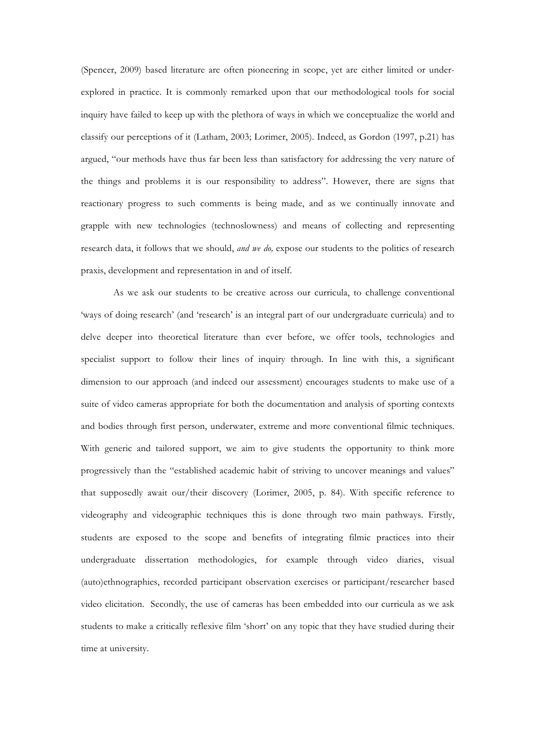(Spencer, 2009) based literature are often pioneering in scope, yet are either limited or underexplored in practice. It is commonly remarked upon that our methodological tools for social inquiry have failed to keep up with the plethora of ways in which we conceptualize the world and classify our perceptions of it (Latham, 2003; Lorimer, 2005). Indeed, as Gordon (1997, p.21) has argued, "our methods have thus far been less than satisfactory for addressing the very nature of the things and problems it is our responsibility to address". However, there are signs that reactionary progress to such comments is being made, and as we continually innovate and grapple with new technologies (technoslowness) and means of collecting and representing research data, it follows that we should, *and we do,* expose our students to the politics of research praxis, development and representation in and of itself.

As we ask our students to be creative across our curricula, to challenge conventional 'ways of doing research' (and 'research' is an integral part of our undergraduate curricula) and to delve deeper into theoretical literature than ever before, we offer tools, technologies and specialist support to follow their lines of inquiry through. In line with this, a significant dimension to our approach (and indeed our assessment) encourages students to make use of a suite of video cameras appropriate for both the documentation and analysis of sporting contexts and bodies through first person, underwater, extreme and more conventional filmic techniques. With generic and tailored support, we aim to give students the opportunity to think more progressively than the "established academic habit of striving to uncover meanings and values" that supposedly await our/their discovery (Lorimer, 2005, p. 84). With specific reference to videography and videographic techniques this is done through two main pathways. Firstly, students are exposed to the scope and benefits of integrating filmic practices into their undergraduate dissertation methodologies, for example through video diaries, visual (auto)ethnographies, recorded participant observation exercises or participant/researcher based video elicitation. Secondly, the use of cameras has been embedded into our curricula as we ask students to make a critically reflexive film 'short' on any topic that they have studied during their time at university.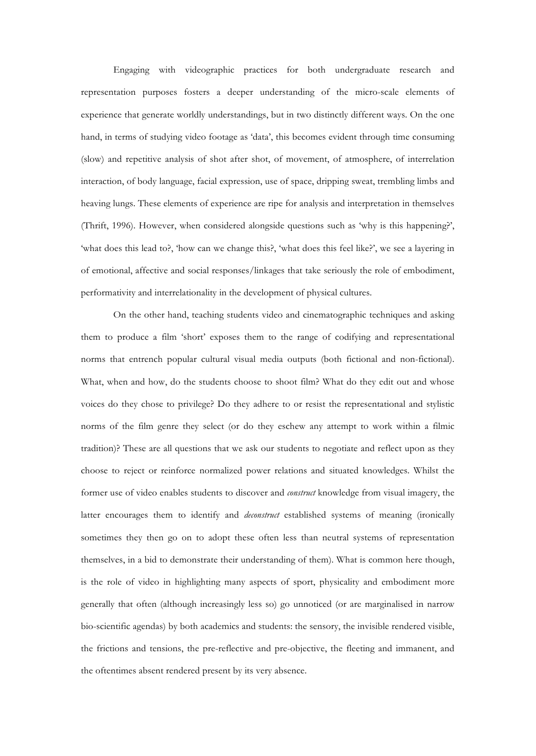Engaging with videographic practices for both undergraduate research and representation purposes fosters a deeper understanding of the micro-scale elements of experience that generate worldly understandings, but in two distinctly different ways. On the one hand, in terms of studying video footage as 'data', this becomes evident through time consuming (slow) and repetitive analysis of shot after shot, of movement, of atmosphere, of interrelation interaction, of body language, facial expression, use of space, dripping sweat, trembling limbs and heaving lungs. These elements of experience are ripe for analysis and interpretation in themselves (Thrift, 1996). However, when considered alongside questions such as 'why is this happening?', 'what does this lead to?, 'how can we change this?, 'what does this feel like?', we see a layering in of emotional, affective and social responses/linkages that take seriously the role of embodiment, performativity and interrelationality in the development of physical cultures.

On the other hand, teaching students video and cinematographic techniques and asking them to produce a film 'short' exposes them to the range of codifying and representational norms that entrench popular cultural visual media outputs (both fictional and non-fictional). What, when and how, do the students choose to shoot film? What do they edit out and whose voices do they chose to privilege? Do they adhere to or resist the representational and stylistic norms of the film genre they select (or do they eschew any attempt to work within a filmic tradition)? These are all questions that we ask our students to negotiate and reflect upon as they choose to reject or reinforce normalized power relations and situated knowledges. Whilst the former use of video enables students to discover and *construct* knowledge from visual imagery, the latter encourages them to identify and *deconstruct* established systems of meaning (ironically sometimes they then go on to adopt these often less than neutral systems of representation themselves, in a bid to demonstrate their understanding of them). What is common here though, is the role of video in highlighting many aspects of sport, physicality and embodiment more generally that often (although increasingly less so) go unnoticed (or are marginalised in narrow bio-scientific agendas) by both academics and students: the sensory, the invisible rendered visible, the frictions and tensions, the pre-reflective and pre-objective, the fleeting and immanent, and the oftentimes absent rendered present by its very absence.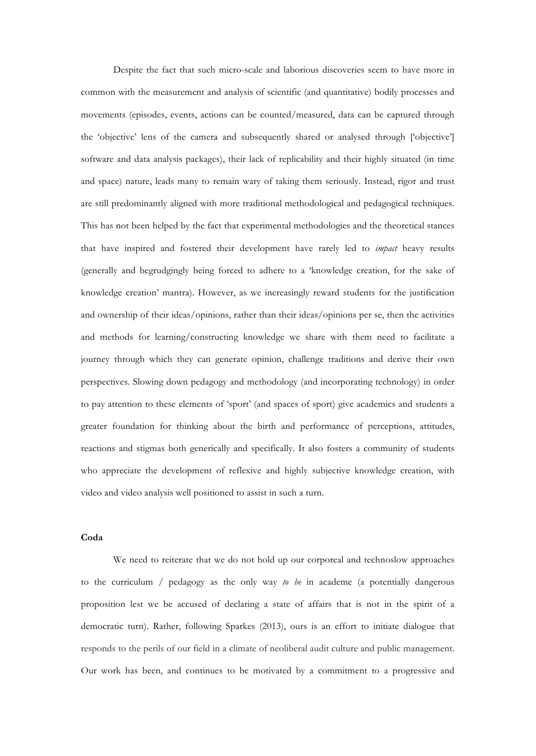Despite the fact that such micro-scale and laborious discoveries seem to have more in common with the measurement and analysis of scientific (and quantitative) bodily processes and movements (episodes, events, actions can be counted/measured, data can be captured through the 'objective' lens of the camera and subsequently shared or analysed through ['objective'] software and data analysis packages), their lack of replicability and their highly situated (in time and space) nature, leads many to remain wary of taking them seriously. Instead, rigor and trust are still predominantly aligned with more traditional methodological and pedagogical techniques. This has not been helped by the fact that experimental methodologies and the theoretical stances that have inspired and fostered their development have rarely led to *impact* heavy results (generally and begrudgingly being forced to adhere to a 'knowledge creation, for the sake of knowledge creation' mantra). However, as we increasingly reward students for the justification and ownership of their ideas/opinions, rather than their ideas/opinions per se, then the activities and methods for learning/constructing knowledge we share with them need to facilitate a journey through which they can generate opinion, challenge traditions and derive their own perspectives. Slowing down pedagogy and methodology (and incorporating technology) in order to pay attention to these elements of 'sport' (and spaces of sport) give academics and students a greater foundation for thinking about the birth and performance of perceptions, attitudes, reactions and stigmas both generically and specifically. It also fosters a community of students who appreciate the development of reflexive and highly subjective knowledge creation, with video and video analysis well positioned to assist in such a turn.

## **Coda**

We need to reiterate that we do not hold up our corporeal and technoslow approaches to the curriculum / pedagogy as the only way *to be* in academe (a potentially dangerous proposition lest we be accused of declaring a state of affairs that is not in the spirit of a democratic turn). Rather, following Sparkes (2013), ours is an effort to initiate dialogue that responds to the perils of our field in a climate of neoliberal audit culture and public management. Our work has been, and continues to be motivated by a commitment to a progressive and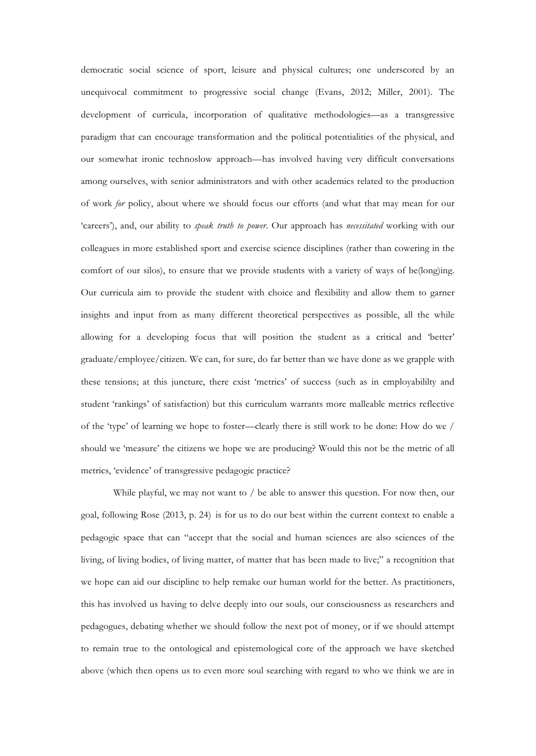democratic social science of sport, leisure and physical cultures; one underscored by an unequivocal commitment to progressive social change (Evans, 2012; Miller, 2001). The development of curricula, incorporation of qualitative methodologies—as a transgressive paradigm that can encourage transformation and the political potentialities of the physical, and our somewhat ironic technoslow approach—has involved having very difficult conversations among ourselves, with senior administrators and with other academics related to the production of work *for* policy, about where we should focus our efforts (and what that may mean for our 'careers'), and, our ability to *speak truth to power*. Our approach has *necessitated* working with our colleagues in more established sport and exercise science disciplines (rather than cowering in the comfort of our silos), to ensure that we provide students with a variety of ways of be(long)ing. Our curricula aim to provide the student with choice and flexibility and allow them to garner insights and input from as many different theoretical perspectives as possible, all the while allowing for a developing focus that will position the student as a critical and 'better' graduate/employee/citizen. We can, for sure, do far better than we have done as we grapple with these tensions; at this juncture, there exist 'metrics' of success (such as in employabililty and student 'rankings' of satisfaction) but this curriculum warrants more malleable metrics reflective of the 'type' of learning we hope to foster—clearly there is still work to be done: How do we / should we 'measure' the citizens we hope we are producing? Would this not be the metric of all metrics, 'evidence' of transgressive pedagogic practice?

While playful, we may not want to / be able to answer this question. For now then, our goal, following Rose (2013, p. 24) is for us to do our best within the current context to enable a pedagogic space that can "accept that the social and human sciences are also sciences of the living, of living bodies, of living matter, of matter that has been made to live;" a recognition that we hope can aid our discipline to help remake our human world for the better. As practitioners, this has involved us having to delve deeply into our souls, our consciousness as researchers and pedagogues, debating whether we should follow the next pot of money, or if we should attempt to remain true to the ontological and epistemological core of the approach we have sketched above (which then opens us to even more soul searching with regard to who we think we are in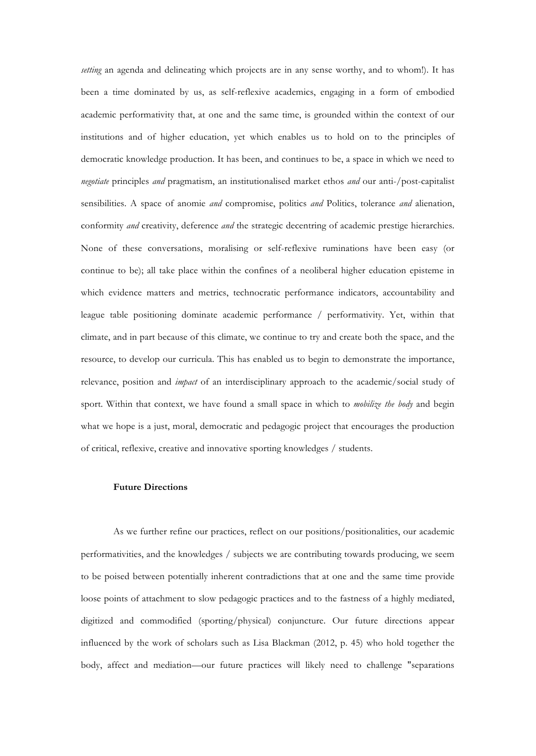*setting* an agenda and delineating which projects are in any sense worthy, and to whom!). It has been a time dominated by us, as self-reflexive academics, engaging in a form of embodied academic performativity that, at one and the same time, is grounded within the context of our institutions and of higher education, yet which enables us to hold on to the principles of democratic knowledge production. It has been, and continues to be, a space in which we need to *negotiate* principles *and* pragmatism, an institutionalised market ethos *and* our anti-/post-capitalist sensibilities. A space of anomie *and* compromise, politics *and* Politics, tolerance *and* alienation, conformity *and* creativity, deference *and* the strategic decentring of academic prestige hierarchies. None of these conversations, moralising or self-reflexive ruminations have been easy (or continue to be); all take place within the confines of a neoliberal higher education episteme in which evidence matters and metrics, technocratic performance indicators, accountability and league table positioning dominate academic performance / performativity. Yet, within that climate, and in part because of this climate, we continue to try and create both the space, and the resource, to develop our curricula. This has enabled us to begin to demonstrate the importance, relevance, position and *impact* of an interdisciplinary approach to the academic/social study of sport. Within that context, we have found a small space in which to *mobilize the body* and begin what we hope is a just, moral, democratic and pedagogic project that encourages the production of critical, reflexive, creative and innovative sporting knowledges / students.

## **Future Directions**

As we further refine our practices, reflect on our positions/positionalities, our academic performativities, and the knowledges / subjects we are contributing towards producing, we seem to be poised between potentially inherent contradictions that at one and the same time provide loose points of attachment to slow pedagogic practices and to the fastness of a highly mediated, digitized and commodified (sporting/physical) conjuncture. Our future directions appear influenced by the work of scholars such as Lisa Blackman (2012, p. 45) who hold together the body, affect and mediation—our future practices will likely need to challenge "separations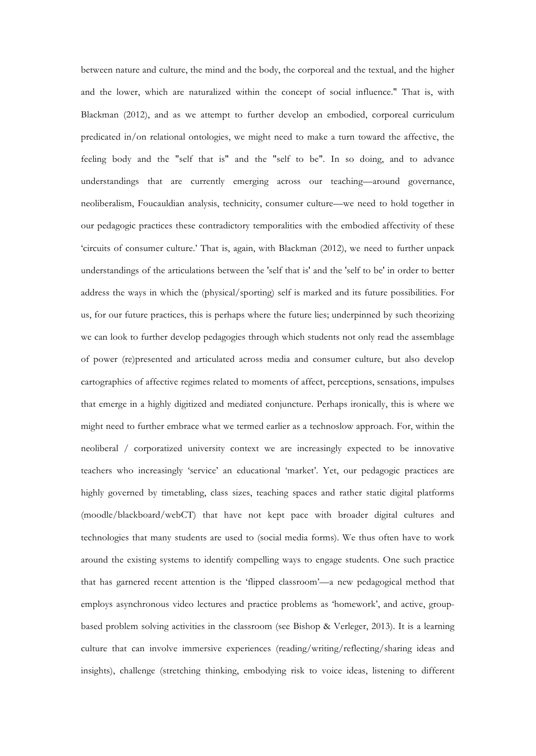between nature and culture, the mind and the body, the corporeal and the textual, and the higher and the lower, which are naturalized within the concept of social influence." That is, with Blackman (2012), and as we attempt to further develop an embodied, corporeal curriculum predicated in/on relational ontologies, we might need to make a turn toward the affective, the feeling body and the "self that is" and the "self to be". In so doing, and to advance understandings that are currently emerging across our teaching—around governance, neoliberalism, Foucauldian analysis, technicity, consumer culture—we need to hold together in our pedagogic practices these contradictory temporalities with the embodied affectivity of these 'circuits of consumer culture.' That is, again, with Blackman (2012), we need to further unpack understandings of the articulations between the 'self that is' and the 'self to be' in order to better address the ways in which the (physical/sporting) self is marked and its future possibilities. For us, for our future practices, this is perhaps where the future lies; underpinned by such theorizing we can look to further develop pedagogies through which students not only read the assemblage of power (re)presented and articulated across media and consumer culture, but also develop cartographies of affective regimes related to moments of affect, perceptions, sensations, impulses that emerge in a highly digitized and mediated conjuncture. Perhaps ironically, this is where we might need to further embrace what we termed earlier as a technoslow approach. For, within the neoliberal / corporatized university context we are increasingly expected to be innovative teachers who increasingly 'service' an educational 'market'. Yet, our pedagogic practices are highly governed by timetabling, class sizes, teaching spaces and rather static digital platforms (moodle/blackboard/webCT) that have not kept pace with broader digital cultures and technologies that many students are used to (social media forms). We thus often have to work around the existing systems to identify compelling ways to engage students. One such practice that has garnered recent attention is the 'flipped classroom'—a new pedagogical method that employs asynchronous video lectures and practice problems as 'homework', and active, groupbased problem solving activities in the classroom (see Bishop & Verleger, 2013). It is a learning culture that can involve immersive experiences (reading/writing/reflecting/sharing ideas and insights), challenge (stretching thinking, embodying risk to voice ideas, listening to different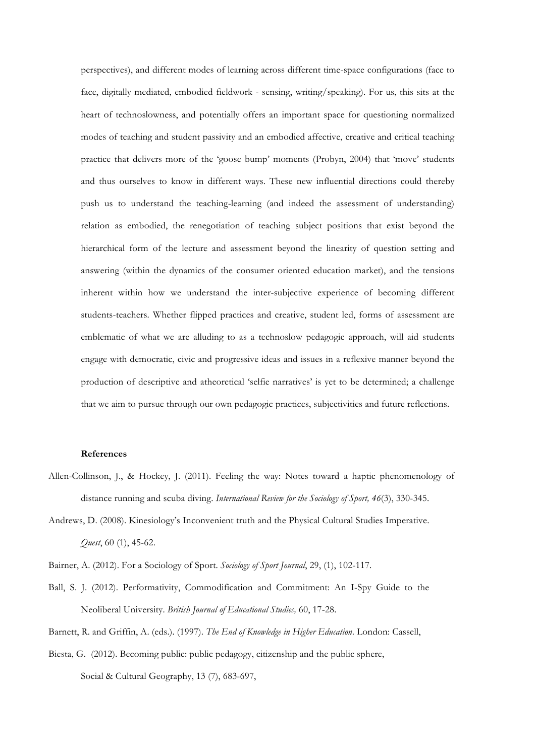perspectives), and different modes of learning across different time-space configurations (face to face, digitally mediated, embodied fieldwork - sensing, writing/speaking). For us, this sits at the heart of technoslowness, and potentially offers an important space for questioning normalized modes of teaching and student passivity and an embodied affective, creative and critical teaching practice that delivers more of the 'goose bump' moments (Probyn, 2004) that 'move' students and thus ourselves to know in different ways. These new influential directions could thereby push us to understand the teaching-learning (and indeed the assessment of understanding) relation as embodied, the renegotiation of teaching subject positions that exist beyond the hierarchical form of the lecture and assessment beyond the linearity of question setting and answering (within the dynamics of the consumer oriented education market), and the tensions inherent within how we understand the inter-subjective experience of becoming different students-teachers. Whether flipped practices and creative, student led, forms of assessment are emblematic of what we are alluding to as a technoslow pedagogic approach, will aid students engage with democratic, civic and progressive ideas and issues in a reflexive manner beyond the production of descriptive and atheoretical 'selfie narratives' is yet to be determined; a challenge that we aim to pursue through our own pedagogic practices, subjectivities and future reflections.

#### **References**

- Allen-Collinson, J., & Hockey, J. (2011). Feeling the way: Notes toward a haptic phenomenology of distance running and scuba diving. *International Review for the Sociology of Sport, 46*(3), 330-345.
- Andrews, D. (2008). Kinesiology's Inconvenient truth and the Physical Cultural Studies Imperative. *Quest*, 60 (1), 45-62.
- Bairner, A. (2012). For a Sociology of Sport. *Sociology of Sport Journal*, 29, (1), 102-117.
- Ball, S. J. (2012). Performativity, Commodification and Commitment: An I-Spy Guide to the Neoliberal University. *British Journal of Educational Studies,* 60, 17-28.

Barnett, R. and Griffin, A. (eds.). (1997). *The End of Knowledge in Higher Education*. London: Cassell,

Biesta, G. (2012). Becoming public: public pedagogy, citizenship and the public sphere, Social & Cultural Geography, 13 (7), 683-697,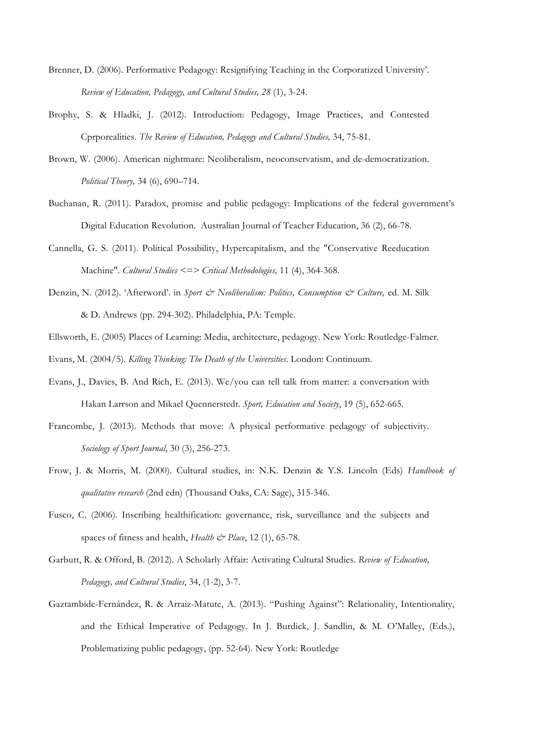- Brenner, D. (2006). Performative Pedagogy: Resignifying Teaching in the Corporatized University'. *Review of Education, Pedagogy, and Cultural Studies, 28* (1), 3-24.
- Brophy, S. & Hladki, J. (2012). Introduction: Pedagogy, Image Practices, and Contested Cprporealities. *The Review of Education, Pedagogy and Cultural Studies,* 34, 75-81.
- Brown, W. (2006). American nightmare: Neoliberalism, neoconservatism, and de-democratization. *Political Theory,* 34 (6), 690–714.
- Buchanan, R. (2011). Paradox, promise and public pedagogy: Implications of the federal government's Digital Education Revolution. Australian Journal of Teacher Education, 36 (2), 66-78.
- Cannella, G. S. (2011). Political Possibility, Hypercapitalism, and the "Conservative Reeducation Machine". *Cultural Studies <=> Critical Methodologies,* 11 (4), 364-368.
- Denzin, N. (2012). 'Afterword'. in *Sport & Neoliberalism: Politics, Consumption & Culture, ed. M. Silk* & D. Andrews (pp. 294-302). Philadelphia, PA: Temple.
- Ellsworth, E. (2005) Places of Learning: Media, architecture, pedagogy. New York: Routledge-Falmer.
- Evans, M. (2004/5). *Killing Thinking: The Death of the Universities*. London: Continuum.
- Evans, J., Davies, B. And Rich, E. (2013). We/you can tell talk from matter: a conversation with Hakan Larrson and Mikael Quennerstedt. *Sport, Education and Society*, 19 (5), 652-665.
- Francombe, J. (2013). Methods that move: A physical performative pedagogy of subjectivity. *Sociology of Sport Journal*, 30 (3), 256-273.
- Frow, J. & Morris, M. (2000). Cultural studies, in: N.K. Denzin & Y.S. Lincoln (Eds) *Handbook of qualitative research* (2nd edn) (Thousand Oaks, CA: Sage), 315-346.
- Fusco, C. (2006). Inscribing healthification: governance, risk, surveillance and the subjects and spaces of fitness and health, *Health & Place*, 12 (1), 65-78.
- Garbutt, R. & Offord, B. (2012). A Scholarly Affair: Activating Cultural Studies. *Review of Education, Pedagogy, and Cultural Studies*, 34, (1-2), 3-7.
- Gaztambide-Fernández, R. & Arraiz-Matute, A. (2013). "Pushing Against": Relationality, Intentionality, and the Ethical Imperative of Pedagogy. In J. Burdick, J. Sandlin, & M. O'Malley, (Eds.), Problematizing public pedagogy, (pp. 52-64). New York: Routledge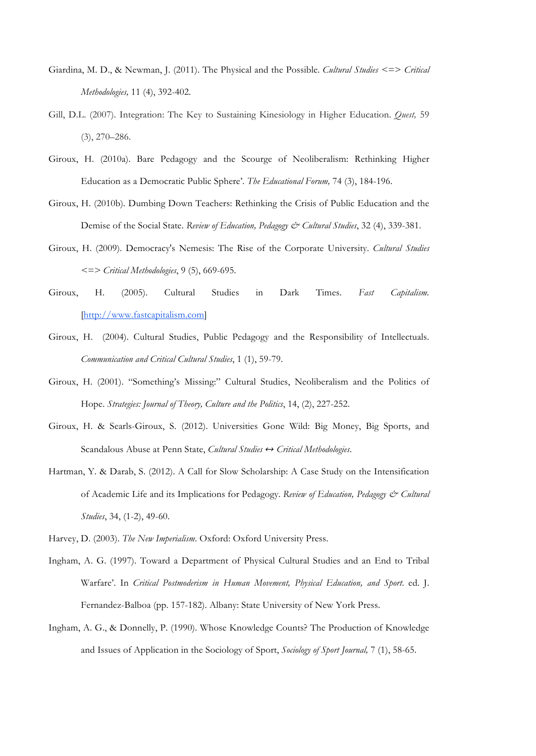- Giardina, M. D., & Newman, J. (2011). The Physical and the Possible. *Cultural Studies <=> Critical Methodologies,* 11 (4), 392-402.
- Gill, D.L. (2007). Integration: The Key to Sustaining Kinesiology in Higher Education. *Quest,* 59 (3), 270–286.
- Giroux, H. (2010a). Bare Pedagogy and the Scourge of Neoliberalism: Rethinking Higher Education as a Democratic Public Sphere'. *The Educational Forum,* 74 (3), 184-196.
- Giroux, H. (2010b). Dumbing Down Teachers: Rethinking the Crisis of Public Education and the Demise of the Social State. *Review of Education, Pedagogy & Cultural Studies*, 32 (4), 339-381.
- Giroux, H. (2009). Democracy's Nemesis: The Rise of the Corporate University. *Cultural Studies <=> Critical Methodologies*, 9 (5), 669-695.
- Giroux, H. (2005). Cultural Studies in Dark Times. *Fast Capitalism.*  [http://www.fastcapitalism.com]
- Giroux, H. (2004). Cultural Studies, Public Pedagogy and the Responsibility of Intellectuals. *Communication and Critical Cultural Studies*, 1 (1), 59-79.
- Giroux, H. (2001). "Something's Missing:" Cultural Studies, Neoliberalism and the Politics of Hope. *Strategies: Journal of Theory, Culture and the Politics*, 14, (2), 227-252.
- Giroux, H. & Searls-Giroux, S. (2012). Universities Gone Wild: Big Money, Big Sports, and Scandalous Abuse at Penn State, *Cultural Studies ↔ Critical Methodologies*.
- Hartman, Y. & Darab, S. (2012). A Call for Slow Scholarship: A Case Study on the Intensification of Academic Life and its Implications for Pedagogy. *Review of Education, Pedagogy & Cultural Studies*, 34, (1-2), 49-60.
- Harvey, D. (2003). *The New Imperialism*. Oxford: Oxford University Press.
- Ingham, A. G. (1997). Toward a Department of Physical Cultural Studies and an End to Tribal Warfare'. In *Critical Postmoderism in Human Movement, Physical Education, and Sport*. ed. J. Fernandez-Balboa (pp. 157-182). Albany: State University of New York Press.
- Ingham, A. G., & Donnelly, P. (1990). Whose Knowledge Counts? The Production of Knowledge and Issues of Application in the Sociology of Sport, *Sociology of Sport Journal,* 7 (1), 58-65.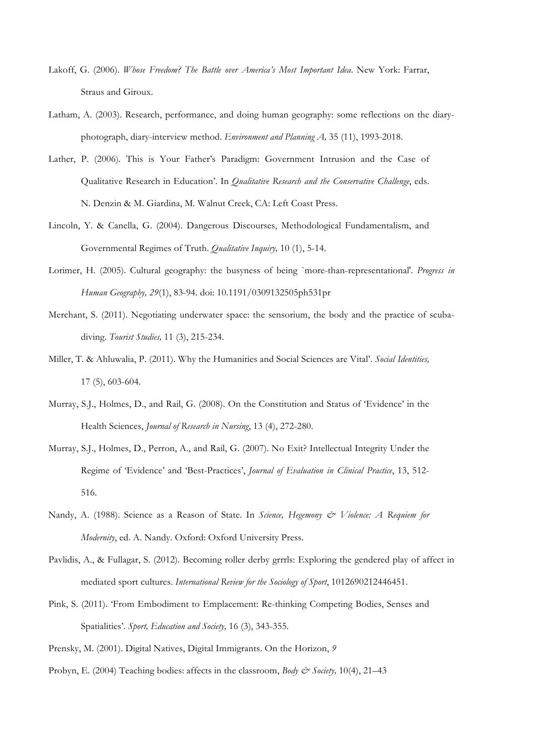- Lakoff, G. (2006). *Whose Freedom? The Battle over America's Most Important Idea*. New York: Farrar, Straus and Giroux.
- Latham, A. (2003). Research, performance, and doing human geography: some reflections on the diaryphotograph, diary-interview method. *Environment and Planning A,* 35 (11), 1993-2018.
- Lather, P. (2006). This is Your Father's Paradigm: Government Intrusion and the Case of Qualitative Research in Education'. In *Qualitative Research and the Conservative Challenge*, eds. N. Denzin & M. Giardina, M*.* Walnut Creek, CA: Left Coast Press.
- Lincoln, Y. & Canella, G. (2004). Dangerous Discourses, Methodological Fundamentalism, and Governmental Regimes of Truth. *Qualitative Inquiry,* 10 (1), 5-14.
- Lorimer, H. (2005). Cultural geography: the busyness of being `more-than-representational'. *Progress in Human Geography, 29*(1), 83-94. doi: 10.1191/0309132505ph531pr
- Merchant, S. (2011). Negotiating underwater space: the sensorium, the body and the practice of scubadiving. *Tourist Studies,* 11 (3), 215-234.
- Miller, T. & Ahluwalia, P. (2011). Why the Humanities and Social Sciences are Vital'. *Social Identities,*  17 (5), 603-604.
- Murray, S.J., Holmes, D., and Rail, G. (2008). On the Constitution and Status of 'Evidence' in the Health Sciences, *Journal of Research in Nursing*, 13 (4), 272-280.
- Murray, S.J., Holmes, D., Perron, A., and Rail, G. (2007). No Exit? Intellectual Integrity Under the Regime of 'Evidence' and 'Best-Practices', *Journal of Evaluation in Clinical Practice*, 13, 512- 516.
- Nandy, A. (1988). Science as a Reason of State. In *Science, Hegemony & Violence: A Requiem for Modernity*, ed. A. Nandy. Oxford: Oxford University Press.
- Pavlidis, A., & Fullagar, S. (2012). Becoming roller derby grrrls: Exploring the gendered play of affect in mediated sport cultures. *International Review for the Sociology of Sport*, 1012690212446451.
- Pink, S. (2011). 'From Embodiment to Emplacement: Re-thinking Competing Bodies, Senses and Spatialities'. *Sport, Education and Society,* 16 (3), 343-355.
- Prensky, M. (2001). Digital Natives, Digital Immigrants. On the Horizon, *9*
- Probyn, E. (2004) Teaching bodies: affects in the classroom, *Body & Society,* 10(4), 21–43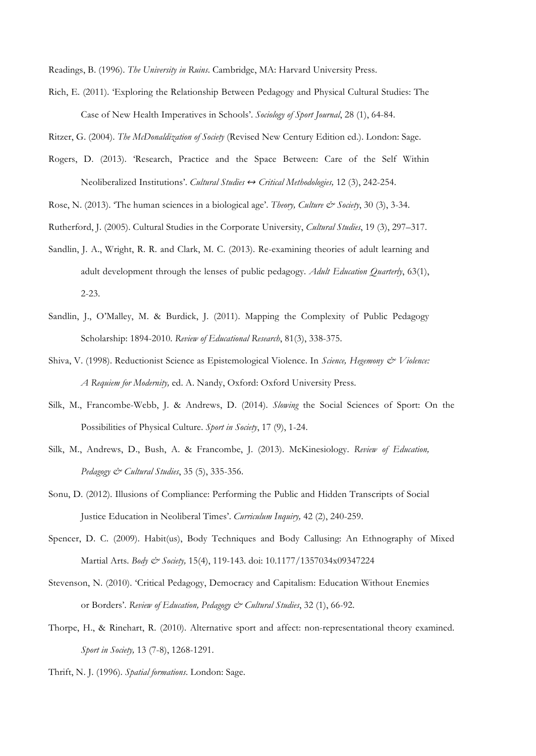Readings, B. (1996). *The University in Ruins*. Cambridge, MA: Harvard University Press.

Rich, E. (2011). 'Exploring the Relationship Between Pedagogy and Physical Cultural Studies: The Case of New Health Imperatives in Schools'. *Sociology of Sport Journal*, 28 (1), 64-84.

Ritzer, G. (2004). *The McDonaldization of Society* (Revised New Century Edition ed.). London: Sage.

- Rogers, D. (2013). 'Research, Practice and the Space Between: Care of the Self Within Neoliberalized Institutions'. *Cultural Studies ↔ Critical Methodologies,* 12 (3), 242-254.
- Rose, N. (2013). 'The human sciences in a biological age'. *Theory, Culture & Society*, 30 (3), 3-34.
- Rutherford, J. (2005). Cultural Studies in the Corporate University, *Cultural Studies*, 19 (3), 297–317.
- Sandlin, J. A., Wright, R. R. and Clark, M. C. (2013). Re-examining theories of adult learning and adult development through the lenses of public pedagogy. *Adult Education Quarterly*, 63(1), 2-23.
- Sandlin, J., O'Malley, M. & Burdick, J. (2011). Mapping the Complexity of Public Pedagogy Scholarship: 1894-2010. *Review of Educational Research*, 81(3), 338-375.
- Shiva, V. (1998). Reductionist Science as Epistemological Violence. In *Science, Hegemony & Violence: A Requiem for Modernity,* ed. A. Nandy, Oxford: Oxford University Press.
- Silk, M., Francombe-Webb, J. & Andrews, D. (2014). *Slowing* the Social Sciences of Sport: On the Possibilities of Physical Culture. *Sport in Society*, 17 (9), 1-24.
- Silk, M., Andrews, D., Bush, A. & Francombe, J. (2013). McKinesiology. *Review of Education, Pedagogy & Cultural Studies*, 35 (5), 335-356.
- Sonu, D. (2012). Illusions of Compliance: Performing the Public and Hidden Transcripts of Social Justice Education in Neoliberal Times'. *Curriculum Inquiry,* 42 (2), 240-259.
- Spencer, D. C. (2009). Habit(us), Body Techniques and Body Callusing: An Ethnography of Mixed Martial Arts. *Body & Society,* 15(4), 119-143. doi: 10.1177/1357034x09347224
- Stevenson, N. (2010). 'Critical Pedagogy, Democracy and Capitalism: Education Without Enemies or Borders'. *Review of Education, Pedagogy & Cultural Studies*, 32 (1), 66-92.
- Thorpe, H., & Rinehart, R. (2010). Alternative sport and affect: non-representational theory examined. *Sport in Society,* 13 (7-8), 1268-1291.
- Thrift, N. J. (1996). *Spatial formations*. London: Sage.